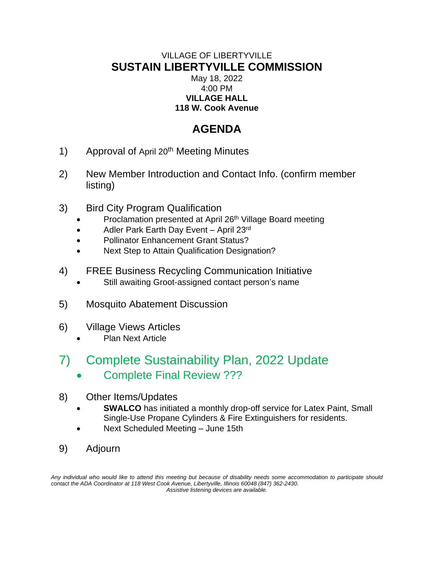# VILLAGE OF LIBERTYVILLE **SUSTAIN LIBERTYVILLE COMMISSION** May 18, 2022 4:00 PM **VILLAGE HALL**

# **118 W. Cook Avenue**

# **AGENDA**

- 1) Approval of April 20<sup>th</sup> Meeting Minutes
- 2) New Member Introduction and Contact Info. (confirm member listing)
- 3) Bird City Program Qualification
	- Proclamation presented at April 26<sup>th</sup> Village Board meeting
	- Adler Park Earth Day Event April 23rd
	- Pollinator Enhancement Grant Status?
	- Next Step to Attain Qualification Designation?
- 4) FREE Business Recycling Communication Initiative
	- Still awaiting Groot-assigned contact person's name
- 5) Mosquito Abatement Discussion
- 6) Village Views Articles
	- Plan Next Article

# 7) Complete Sustainability Plan, 2022 Update

- Complete Final Review ???
- 8) Other Items/Updates
	- **SWALCO** has initiated a monthly drop-off service for Latex Paint, Small Single-Use Propane Cylinders & Fire Extinguishers for residents.
	- Next Scheduled Meeting June 15th
- 9) Adjourn

Any individual who would like to attend this meeting but because of disability needs some accommodation to participate should *contact the ADA Coordinator at 118 West Cook Avenue, Libertyville, Illinois 60048 (847) 362-2430. Assistive listening devices are available.*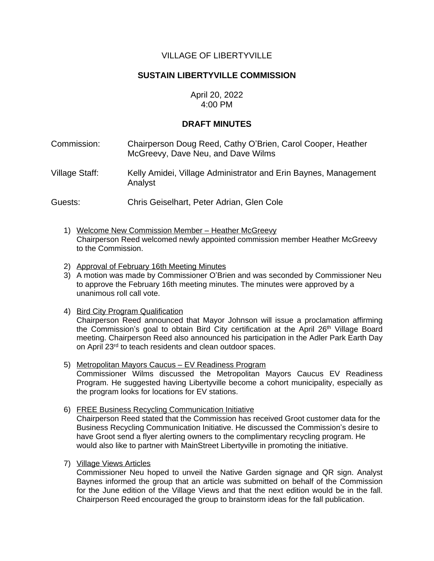# VILLAGE OF LIBERTYVILLE

# **SUSTAIN LIBERTYVILLE COMMISSION**

## April 20, 2022 4:00 PM

# **DRAFT MINUTES**

- Commission: Chairperson Doug Reed, Cathy O'Brien, Carol Cooper, Heather McGreevy, Dave Neu, and Dave Wilms
- Village Staff: Kelly Amidei, Village Administrator and Erin Baynes, Management Analyst

Guests: Chris Geiselhart, Peter Adrian, Glen Cole

- 1) Welcome New Commission Member Heather McGreevy Chairperson Reed welcomed newly appointed commission member Heather McGreevy to the Commission.
- 2) Approval of February 16th Meeting Minutes
- 3) A motion was made by Commissioner O'Brien and was seconded by Commissioner Neu to approve the February 16th meeting minutes. The minutes were approved by a unanimous roll call vote.
- 4) Bird City Program Qualification Chairperson Reed announced that Mayor Johnson will issue a proclamation affirming the Commission's goal to obtain Bird City certification at the April 26<sup>th</sup> Village Board meeting. Chairperson Reed also announced his participation in the Adler Park Earth Day on April 23rd to teach residents and clean outdoor spaces.
- 5) Metropolitan Mayors Caucus EV Readiness Program Commissioner Wilms discussed the Metropolitan Mayors Caucus EV Readiness Program. He suggested having Libertyville become a cohort municipality, especially as the program looks for locations for EV stations.
- 6) FREE Business Recycling Communication Initiative Chairperson Reed stated that the Commission has received Groot customer data for the Business Recycling Communication Initiative. He discussed the Commission's desire to have Groot send a flyer alerting owners to the complimentary recycling program. He would also like to partner with MainStreet Libertyville in promoting the initiative.
- 7) Village Views Articles

Commissioner Neu hoped to unveil the Native Garden signage and QR sign. Analyst Baynes informed the group that an article was submitted on behalf of the Commission for the June edition of the Village Views and that the next edition would be in the fall. Chairperson Reed encouraged the group to brainstorm ideas for the fall publication.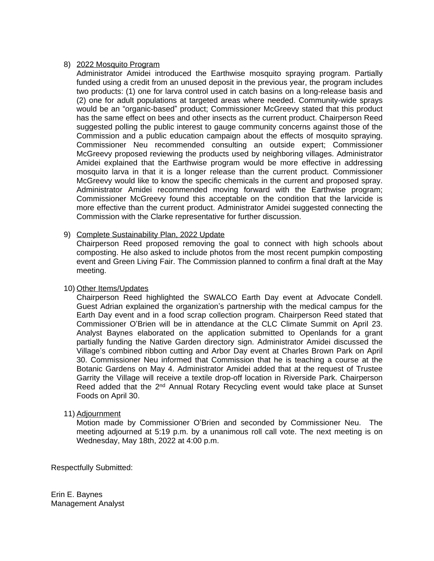#### 8) 2022 Mosquito Program

Administrator Amidei introduced the Earthwise mosquito spraying program. Partially funded using a credit from an unused deposit in the previous year, the program includes two products: (1) one for larva control used in catch basins on a long-release basis and (2) one for adult populations at targeted areas where needed. Community-wide sprays would be an "organic-based" product; Commissioner McGreevy stated that this product has the same effect on bees and other insects as the current product. Chairperson Reed suggested polling the public interest to gauge community concerns against those of the Commission and a public education campaign about the effects of mosquito spraying. Commissioner Neu recommended consulting an outside expert; Commissioner McGreevy proposed reviewing the products used by neighboring villages. Administrator Amidei explained that the Earthwise program would be more effective in addressing mosquito larva in that it is a longer release than the current product. Commissioner McGreevy would like to know the specific chemicals in the current and proposed spray. Administrator Amidei recommended moving forward with the Earthwise program; Commissioner McGreevy found this acceptable on the condition that the larvicide is more effective than the current product. Administrator Amidei suggested connecting the Commission with the Clarke representative for further discussion.

#### 9) Complete Sustainability Plan, 2022 Update

Chairperson Reed proposed removing the goal to connect with high schools about composting. He also asked to include photos from the most recent pumpkin composting event and Green Living Fair. The Commission planned to confirm a final draft at the May meeting.

#### 10) Other Items/Updates

Chairperson Reed highlighted the SWALCO Earth Day event at Advocate Condell. Guest Adrian explained the organization's partnership with the medical campus for the Earth Day event and in a food scrap collection program. Chairperson Reed stated that Commissioner O'Brien will be in attendance at the CLC Climate Summit on April 23. Analyst Baynes elaborated on the application submitted to Openlands for a grant partially funding the Native Garden directory sign. Administrator Amidei discussed the Village's combined ribbon cutting and Arbor Day event at Charles Brown Park on April 30. Commissioner Neu informed that Commission that he is teaching a course at the Botanic Gardens on May 4. Administrator Amidei added that at the request of Trustee Garrity the Village will receive a textile drop-off location in Riverside Park. Chairperson Reed added that the 2<sup>nd</sup> Annual Rotary Recycling event would take place at Sunset Foods on April 30.

#### 11) Adjournment

Motion made by Commissioner O'Brien and seconded by Commissioner Neu. The meeting adjourned at 5:19 p.m. by a unanimous roll call vote. The next meeting is on Wednesday, May 18th, 2022 at 4:00 p.m.

Respectfully Submitted:

Erin E. Baynes Management Analyst